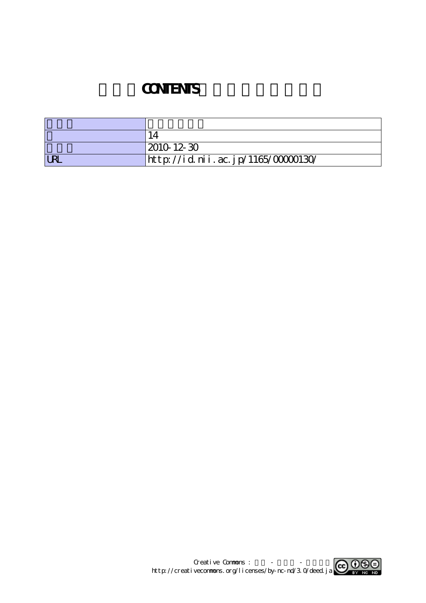## **CONTENTS**

|            | 2010 12 30                         |
|------------|------------------------------------|
| <b>URL</b> | http://id.nii.ac.jp/1165/00000130/ |

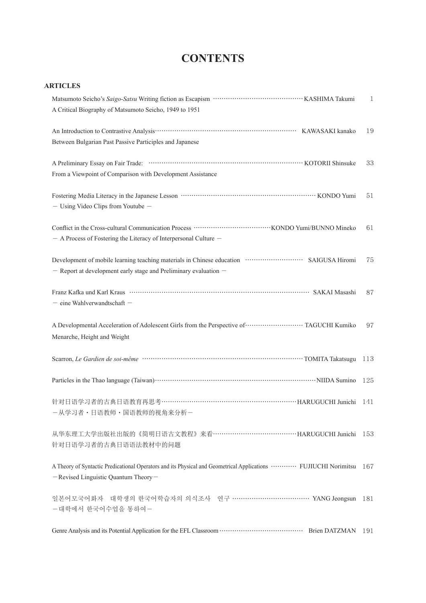## **CONTENTS**

| ARTICLES |  |
|----------|--|
|----------|--|

| A Critical Biography of Matsumoto Seicho, 1949 to 1951                                                                                                                                   | $\mathbf{1}$ |
|------------------------------------------------------------------------------------------------------------------------------------------------------------------------------------------|--------------|
| Between Bulgarian Past Passive Participles and Japanese                                                                                                                                  | 19           |
| From a Viewpoint of Comparison with Development Assistance                                                                                                                               | 33           |
| $-$ Using Video Clips from Youtube $-$                                                                                                                                                   | 51           |
| - A Process of Fostering the Literacy of Interpersonal Culture -                                                                                                                         | 61           |
| $-$ Report at development early stage and Preliminary evaluation $-$                                                                                                                     | 75           |
| - eine Wahlverwandtschaft -                                                                                                                                                              | 87           |
| A Developmental Acceleration of Adolescent Girls from the Perspective of ······························ TAGUCHI Kumiko<br>Menarche, Height and Weight                                    | 97           |
|                                                                                                                                                                                          | 113          |
|                                                                                                                                                                                          | 125          |
| 针对日语学习者的古典日语教育再思考……………………………………………………………HARUGUCHI Junichi<br>ー从学习者·日语教师·国语教师的视角来分析-                                                                                                      | 141          |
| 从华东理工大学出版社出版的《简明日语古文教程》来看……………………………………HARUGUCHI Junichi 153<br>针对日语学习者的古典日语语法教材中的问题                                                                                                     |              |
| A Theory of Syntactic Predicational Operators and its Physical and Geometrical Applications <b>WELT ACTED ACT ACT ACT ACT</b> Norimitsu 167<br>$-$ Revised Linguistic Quantum Theory $-$ |              |
| 일본어모국어화자 대학생의 한국어학습자의 의식조사 연구 …………………………… YANG Jeongsun<br>-대학에서 한국어수업을 통하여-                                                                                                             | 181          |
|                                                                                                                                                                                          | 191          |